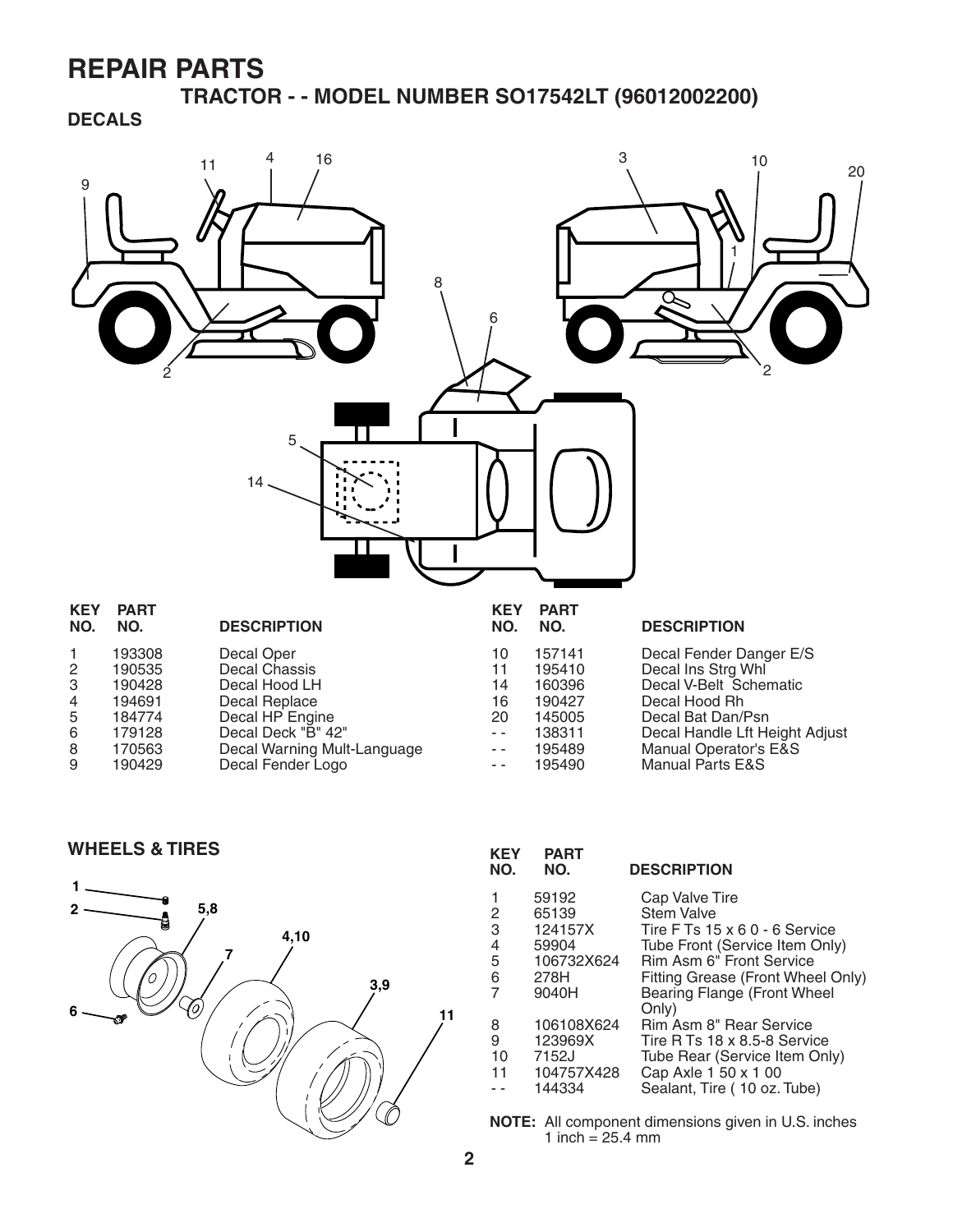**TRACTOR - - MODEL NUMBER SO17542LT (96012002200)**

**DECALS**



8 170563 Decal Warning Mult-Language 9 190429 Decal Fender Logo

| 157141 | Decal Fender Danger E       |
|--------|-----------------------------|
| 195410 | Decal Ins Strg Whl          |
| 160396 | Decal V-Belt Schematio      |
| 190427 | Decal Hood Rh               |
| 145005 | Decal Bat Dan/Psn           |
| 138311 | Decal Handle Lft Height     |
| 195489 | Manual Operator's E&S       |
| 195490 | <b>Manual Parts E&amp;S</b> |
|        |                             |



| <b>WHEELS &amp; TIRES</b> | <b>KEY</b><br>NO.            | <b>PART</b><br>NO.                                                                                                          | <b>DESCRIPTION</b>                                                                                                                                                                                                                                                                                                                                                  |
|---------------------------|------------------------------|-----------------------------------------------------------------------------------------------------------------------------|---------------------------------------------------------------------------------------------------------------------------------------------------------------------------------------------------------------------------------------------------------------------------------------------------------------------------------------------------------------------|
| 5,8<br>4,10<br>3,9<br>11  | 5<br>6<br>8<br>9<br>10<br>11 | 59192<br>65139<br>124157X<br>59904<br>106732X624<br>278H<br>9040H<br>106108X624<br>123969X<br>7152J<br>104757X428<br>144334 | Cap Valve Tire<br><b>Stem Valve</b><br>Tire F Ts 15 x 6 0 - 6 Service<br>Tube Front (Service Item Only)<br>Rim Asm 6" Front Service<br>Fitting Grease (Front Wheel Only)<br>Bearing Flange (Front Wheel<br>Only)<br>Rim Asm 8" Rear Service<br>Tire R Ts 18 x 8.5-8 Service<br>Tube Rear (Service Item Only)<br>Cap Axle 1 50 x 1 00<br>Sealant, Tire (10 oz. Tube) |

**NOTE:** All component dimensions given in U.S. inches 1 inch =  $25.4 \, \text{mm}$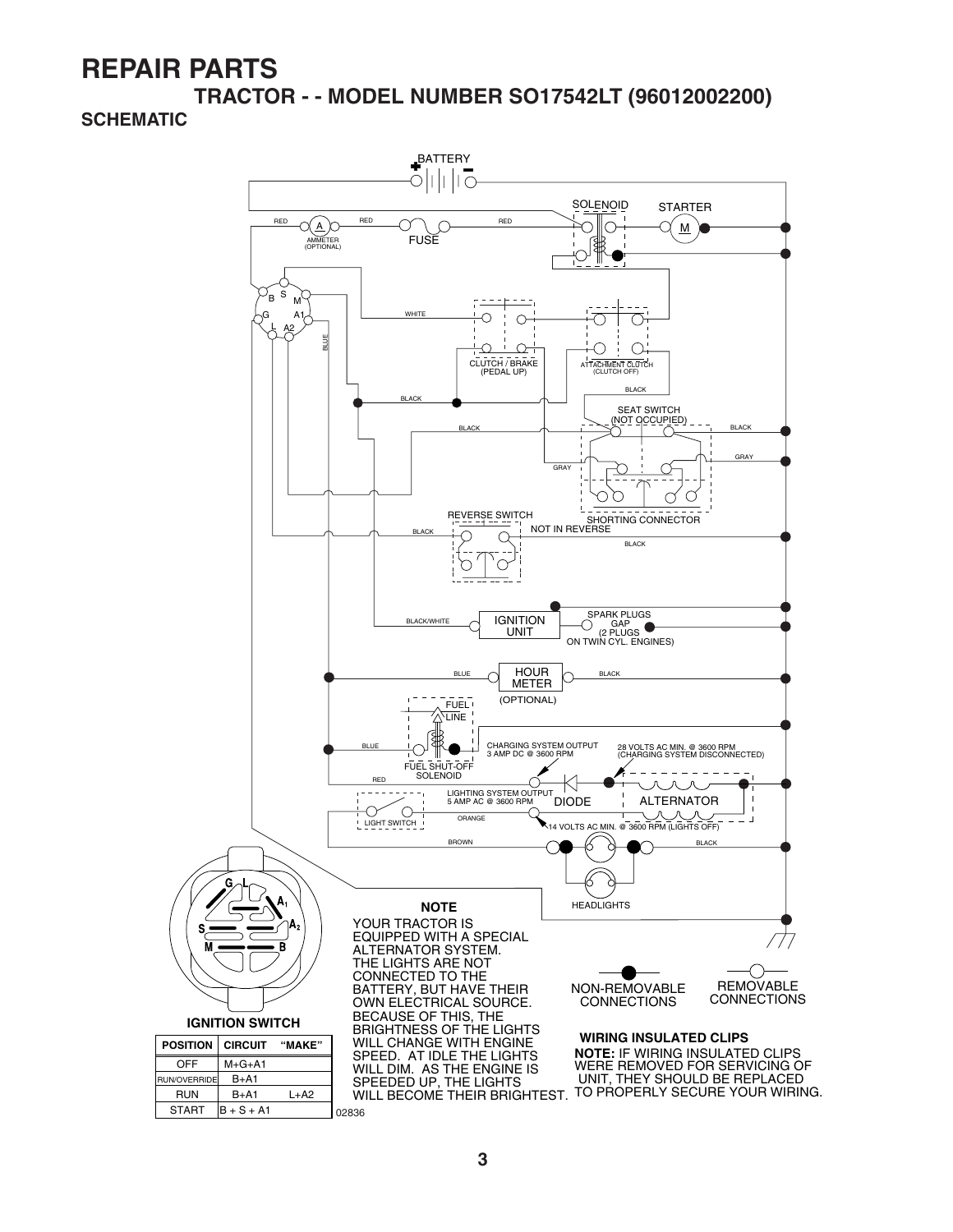**TRACTOR - - MODEL NUMBER SO17542LT (96012002200) SCHEMATIC**

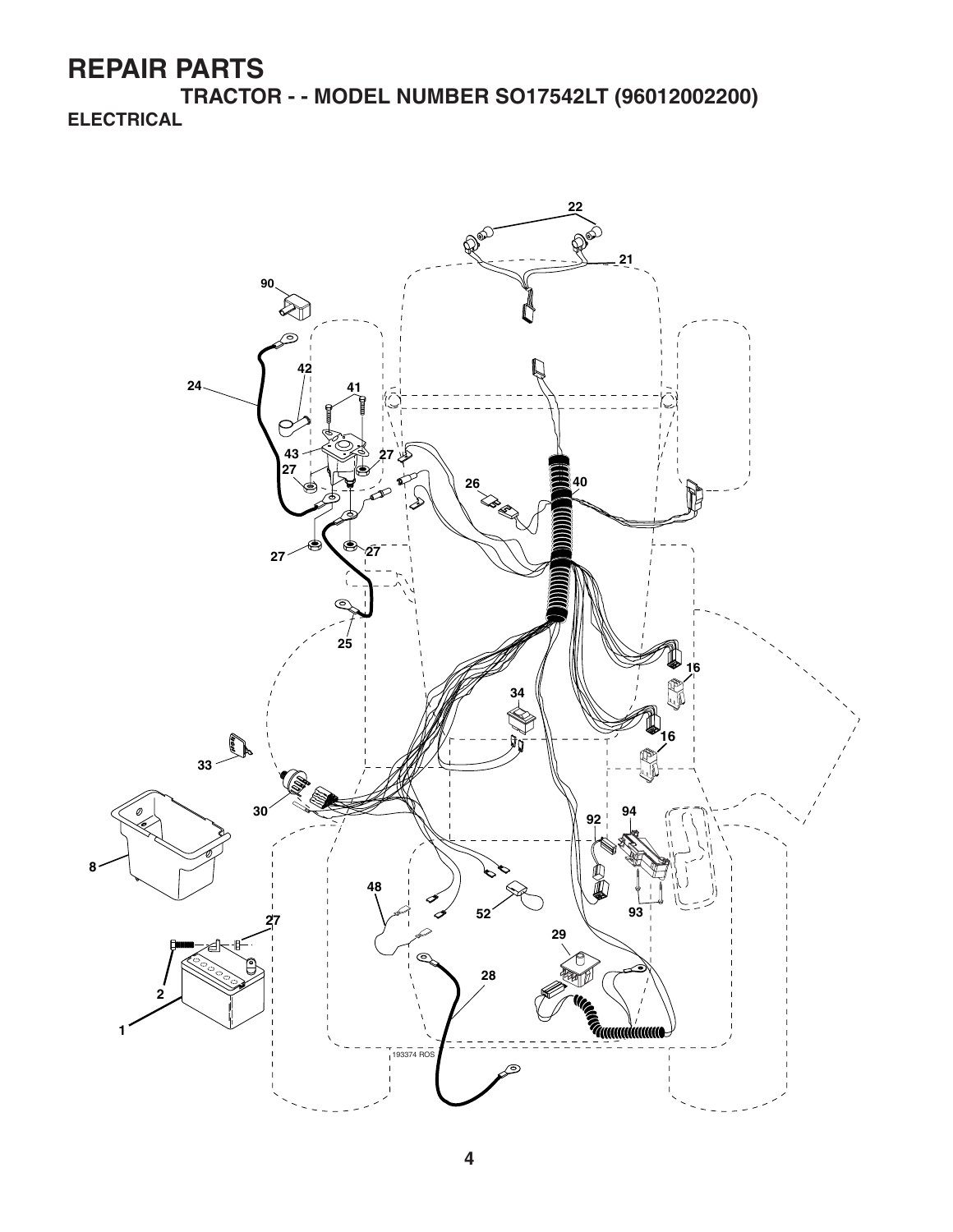**TRACTOR - - MODEL NUMBER SO17542LT (96012002200) ELECTRICAL**

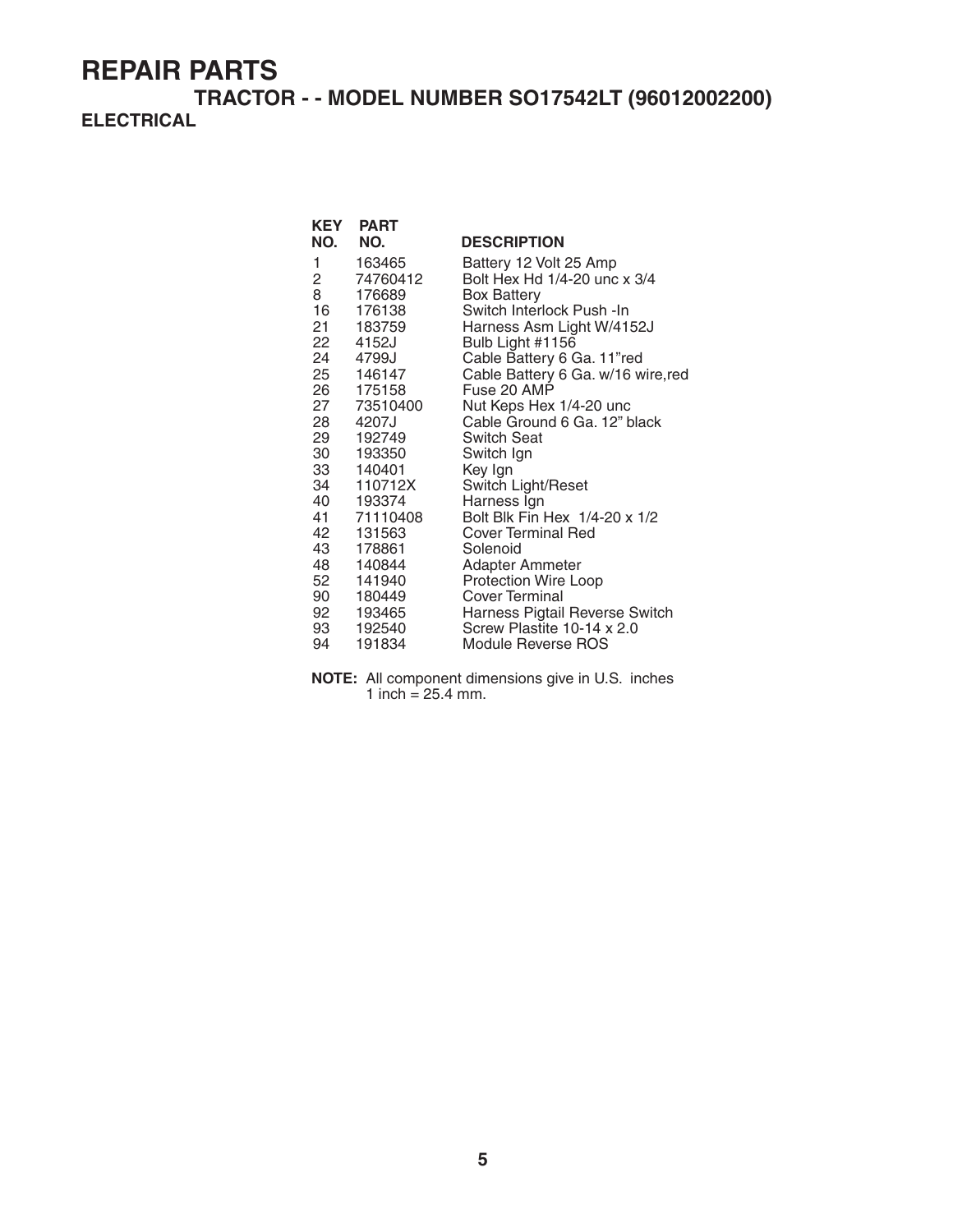#### **TRACTOR - - MODEL NUMBER SO17542LT (96012002200) ELECTRICAL**

| <b>KEY</b>             | <b>PART</b>         |                                               |
|------------------------|---------------------|-----------------------------------------------|
| NO.                    | NO.                 | <b>DESCRIPTION</b>                            |
| 1                      | 163465              | Battery 12 Volt 25 Amp                        |
| $2 \quad \blacksquare$ | 74760412            | Bolt Hex Hd 1/4-20 unc x 3/4                  |
| 8                      | 176689              | <b>Box Battery</b>                            |
| 16                     | 176138              | Switch Interlock Push -In                     |
| 21 —                   | 183759              | Harness Asm Light W/4152J                     |
| 22                     | 4152J               | Bulb Light #1156                              |
|                        | 24 4799J            | Cable Battery 6 Ga. 11"red                    |
|                        | 25 146147           | Cable Battery 6 Ga. w/16 wire, red            |
|                        | 26 175158           | Fuse 20 AMP                                   |
|                        | 27 73510400         | Nut Keps Hex 1/4-20 unc                       |
| 28 —                   | 4207J               | Cable Ground 6 Ga. 12" black                  |
|                        | 29 192749           | <b>Switch Seat</b>                            |
| 30                     | 193350              | Switch Ign                                    |
|                        | 33 140401           | Key Ign                                       |
|                        | 34 110712X          | Switch Light/Reset                            |
|                        | 40 193374           | Harness Ign                                   |
|                        | 41 71110408         | Bolt Blk Fin Hex 1/4-20 x 1/2                 |
| 42                     | 131563              | Cover Terminal Red                            |
| 43                     | 178861              | Solenoid                                      |
|                        | 48 140844           | Adapter Ammeter                               |
| 52                     | 141940<br>90 180449 | <b>Protection Wire Loop</b><br>Cover Terminal |
|                        | 92 193465           | Harness Pigtail Reverse Switch                |
|                        | 93 192540           | Screw Plastite 10-14 x 2.0                    |
| 94                     | 191834              | Module Reverse ROS                            |
|                        |                     |                                               |

**NOTE:** All component dimensions give in U.S. inches 1 inch =  $25.4$  mm.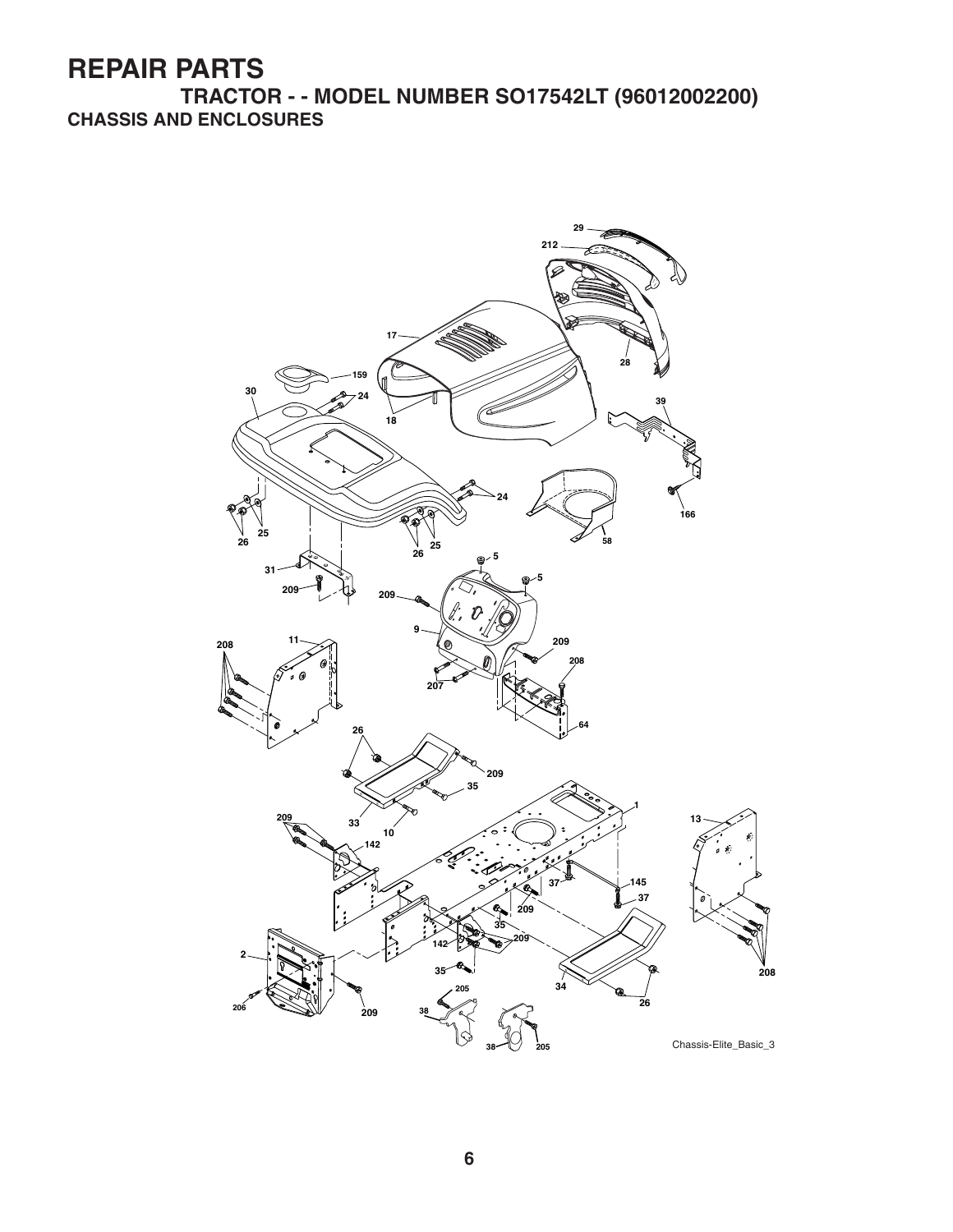**TRACTOR - - MODEL NUMBER SO17542LT (96012002200) CHASSIS AND ENCLOSURES**

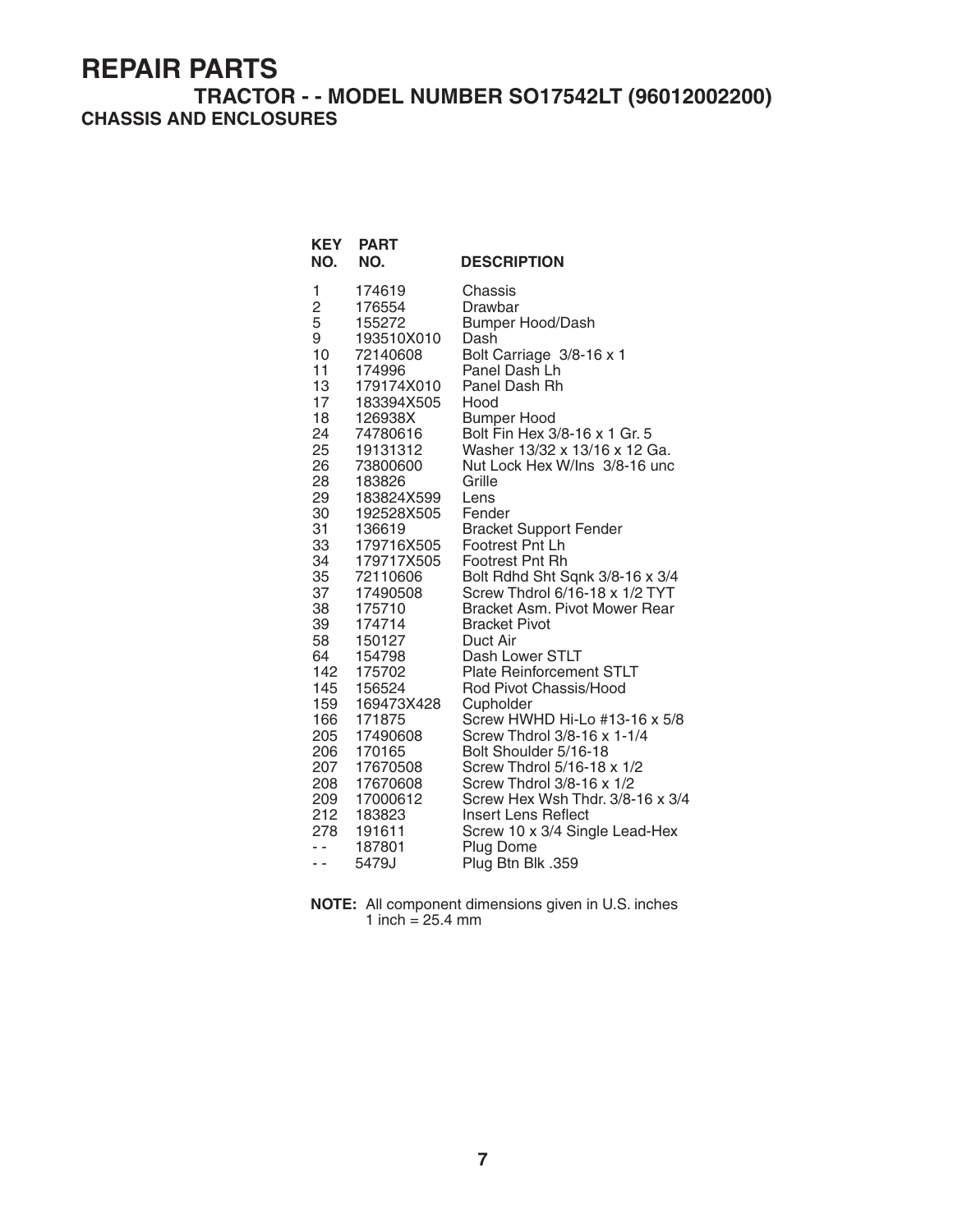#### **TRACTOR - - MODEL NUMBER SO17542LT (96012002200) CHASSIS AND ENCLOSURES**

| <b>KEY</b><br>NO.   | <b>PART</b><br>NO.   | <b>DESCRIPTION</b>                                                |
|---------------------|----------------------|-------------------------------------------------------------------|
| 1                   | 174619               | Chassis                                                           |
| $\overline{c}$<br>5 | 176554<br>155272     | Drawbar                                                           |
| 9                   | 193510X010           | <b>Bumper Hood/Dash</b><br>Dash                                   |
| 10                  | 72140608             | Bolt Carriage 3/8-16 x 1                                          |
| 11                  | 174996               | Panel Dash Lh                                                     |
| 13                  | 179174X010           | Panel Dash Rh                                                     |
| 17                  | 183394X505           | Hood                                                              |
| 18                  | 126938X              | <b>Bumper Hood</b>                                                |
| 24                  | 74780616             | Bolt Fin Hex 3/8-16 x 1 Gr. 5                                     |
| 25                  | 19131312             | Washer 13/32 x 13/16 x 12 Ga.                                     |
| 26                  | 73800600             | Nut Lock Hex W/Ins 3/8-16 unc                                     |
| 28                  | 183826               | Grille                                                            |
| 29                  | 183824X599           | Lens                                                              |
| 30                  | 192528X505           | Fender                                                            |
| 31                  | 136619               | <b>Bracket Support Fender</b>                                     |
| 33                  | 179716X505           | Footrest Pnt Lh                                                   |
| 34<br>35            | 179717X505           | <b>Footrest Pnt Rh</b>                                            |
| 37                  | 72110606<br>17490508 | Bolt Rdhd Sht Sqnk 3/8-16 x 3/4<br>Screw Thdrol 6/16-18 x 1/2 TYT |
| 38                  | 175710               | Bracket Asm. Pivot Mower Rear                                     |
| 39                  | 174714               | <b>Bracket Pivot</b>                                              |
| 58                  | 150127               | Duct Air                                                          |
| 64                  | 154798               | Dash Lower STLT                                                   |
| 142                 | 175702               | <b>Plate Reinforcement STLT</b>                                   |
| 145                 | 156524               | Rod Pivot Chassis/Hood                                            |
| 159                 | 169473X428           | Cupholder                                                         |
| 166                 | 171875               | Screw HWHD Hi-Lo #13-16 x 5/8                                     |
| 205                 | 17490608             | Screw Thdrol 3/8-16 x 1-1/4                                       |
| 206                 | 170165               | Bolt Shoulder 5/16-18                                             |
| 207                 | 17670508             | Screw Thdrol 5/16-18 x 1/2                                        |
| 208                 | 17670608             | Screw Thdrol 3/8-16 x 1/2                                         |
| 209                 | 17000612             | Screw Hex Wsh Thdr. 3/8-16 x 3/4                                  |
| 212<br>278          | 183823               | <b>Insert Lens Reflect</b>                                        |
| $ -$                | 191611<br>187801     | Screw 10 x 3/4 Single Lead-Hex<br><b>Plug Dome</b>                |
| $ -$                | 5479J                | Plug Btn Blk .359                                                 |
|                     |                      |                                                                   |

**NOTE:** All component dimensions given in U.S. inches 1 inch  $= 25.4$  mm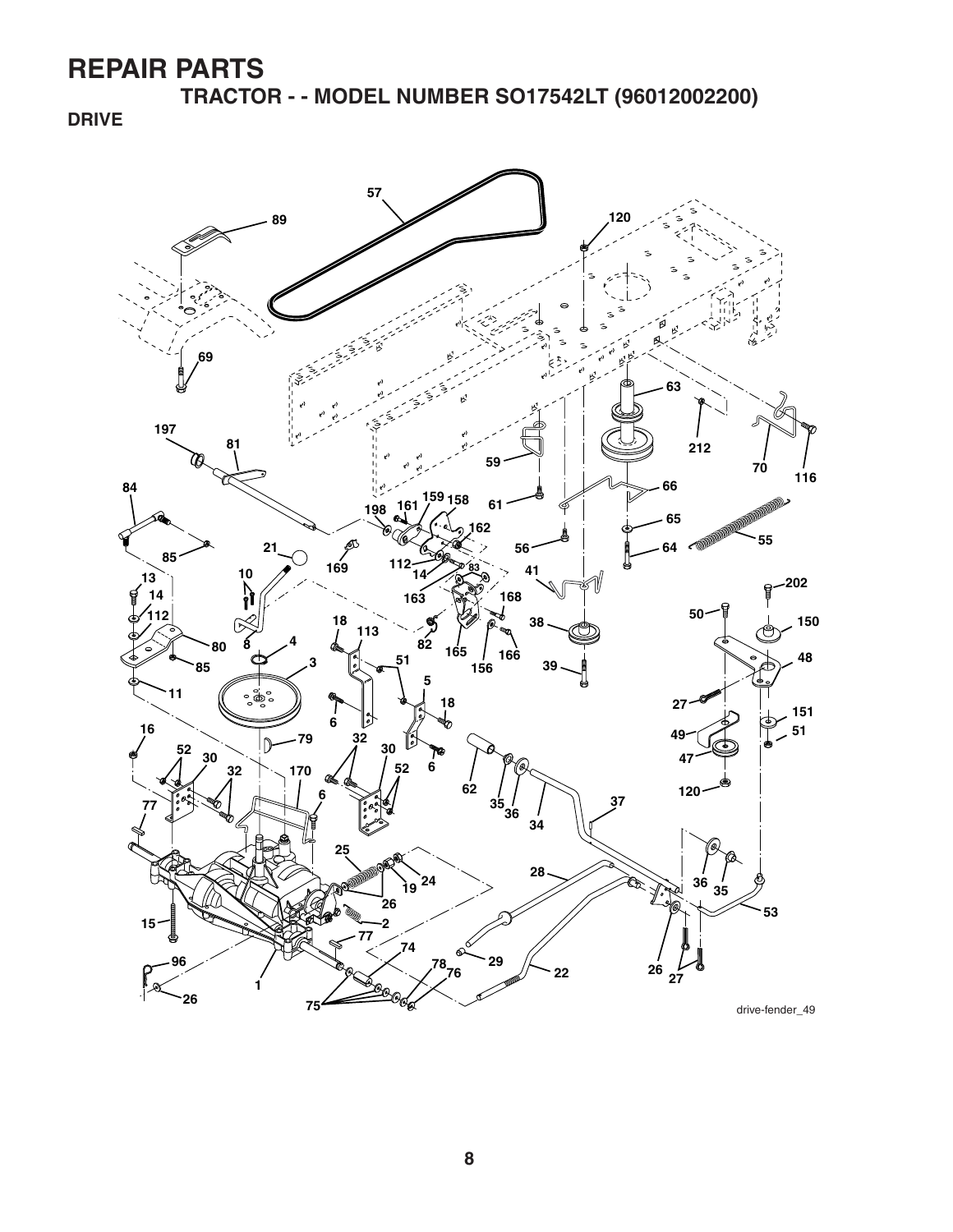**TRACTOR - - MODEL NUMBER SO17542LT (96012002200)**

**DRIVE**

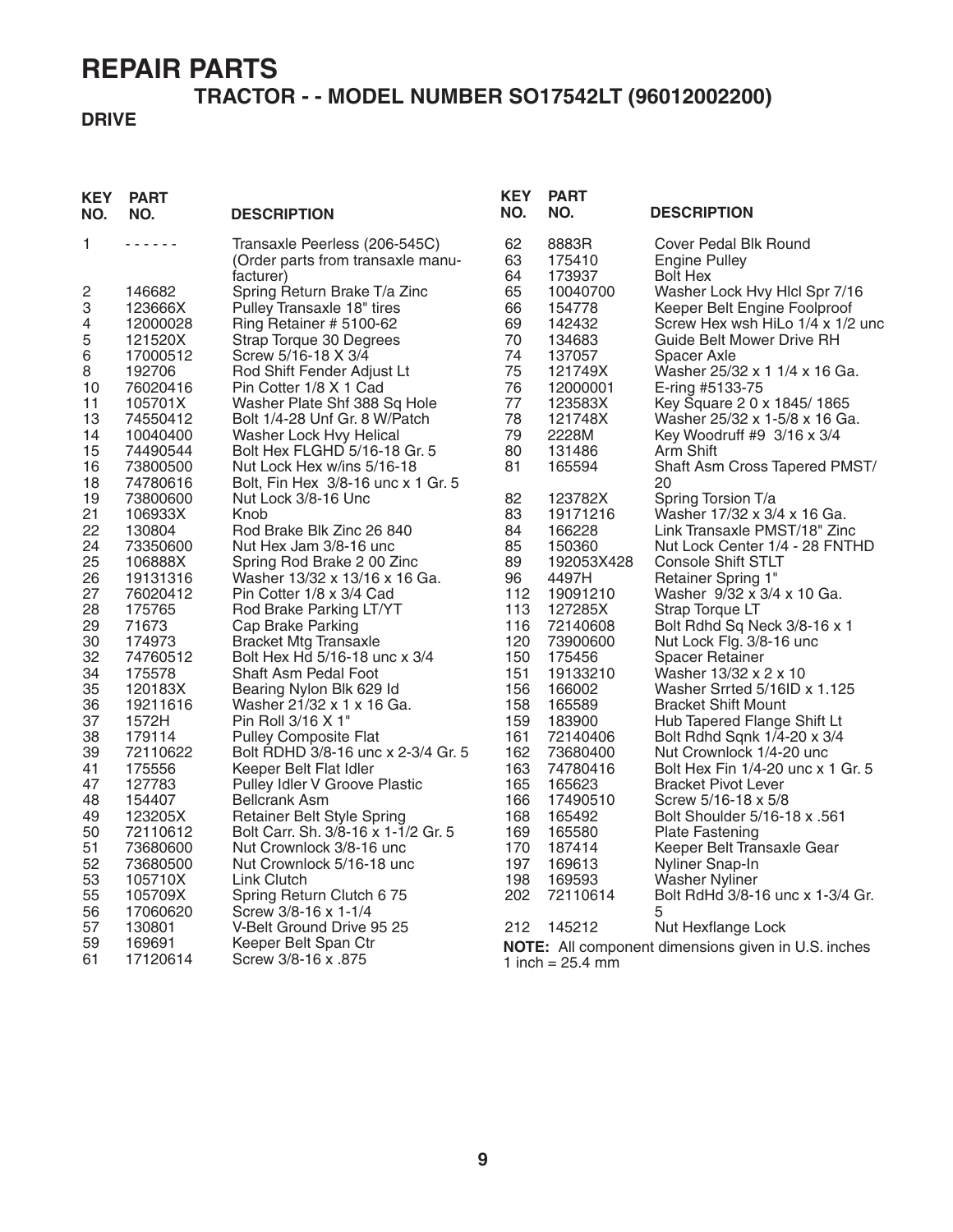#### **TRACTOR - - MODEL NUMBER SO17542LT (96012002200)**

#### **DRIVE**

| <b>KEY</b><br>NO. | <b>PART</b><br>NO.   | <b>DESCRIPTION</b>                                                              | <b>KEY</b><br>NO. | <b>PART</b><br>NO.        | <b>DESCRIPTION</b>                                               |
|-------------------|----------------------|---------------------------------------------------------------------------------|-------------------|---------------------------|------------------------------------------------------------------|
| 1                 | .                    | Transaxle Peerless (206-545C)<br>(Order parts from transaxle manu-<br>facturer) | 62<br>63<br>64    | 8883R<br>175410<br>173937 | Cover Pedal Blk Round<br><b>Engine Pulley</b><br><b>Bolt Hex</b> |
| 2                 | 146682               | Spring Return Brake T/a Zinc                                                    | 65                | 10040700                  | Washer Lock Hvy Hlcl Spr 7/16                                    |
| 3                 | 123666X              | Pulley Transaxle 18" tires                                                      | 66                | 154778                    | Keeper Belt Engine Foolproof                                     |
| 4                 | 12000028             | Ring Retainer # 5100-62                                                         | 69                | 142432                    | Screw Hex wsh HiLo 1/4 x 1/2 unc                                 |
| 5                 | 121520X              | Strap Torque 30 Degrees                                                         | 70                | 134683                    | Guide Belt Mower Drive RH                                        |
| 6<br>8            | 17000512<br>192706   | Screw 5/16-18 X 3/4<br>Rod Shift Fender Adjust Lt                               | 74<br>75          | 137057<br>121749X         | Spacer Axle<br>Washer 25/32 x 1 1/4 x 16 Ga.                     |
| 10                | 76020416             | Pin Cotter 1/8 X 1 Cad                                                          | 76                | 12000001                  | E-ring #5133-75                                                  |
| 11                | 105701X              | Washer Plate Shf 388 Sq Hole                                                    | 77                | 123583X                   | Key Square 2 0 x 1845/1865                                       |
| 13                | 74550412             | Bolt 1/4-28 Unf Gr. 8 W/Patch                                                   | 78                | 121748X                   | Washer 25/32 x 1-5/8 x 16 Ga.                                    |
| 14                | 10040400             | Washer Lock Hvy Helical                                                         | 79                | 2228M                     | Key Woodruff #9 3/16 x 3/4                                       |
| 15                | 74490544             | Bolt Hex FLGHD 5/16-18 Gr. 5                                                    | 80                | 131486                    | Arm Shift                                                        |
| 16<br>18          | 73800500<br>74780616 | Nut Lock Hex w/ins 5/16-18<br>Bolt, Fin Hex 3/8-16 unc x 1 Gr. 5                | 81                | 165594                    | Shaft Asm Cross Tapered PMST/<br>20                              |
| 19                | 73800600             | Nut Lock 3/8-16 Unc                                                             | 82                | 123782X                   | Spring Torsion T/a                                               |
| 21                | 106933X              | Knob                                                                            | 83                | 19171216                  | Washer 17/32 x 3/4 x 16 Ga.                                      |
| 22                | 130804               | Rod Brake Blk Zinc 26 840                                                       | 84                | 166228                    | Link Transaxle PMST/18" Zinc                                     |
| 24                | 73350600             | Nut Hex Jam 3/8-16 unc                                                          | 85                | 150360                    | Nut Lock Center 1/4 - 28 FNTHD                                   |
| 25                | 106888X              | Spring Rod Brake 2 00 Zinc                                                      | 89                | 192053X428                | <b>Console Shift STLT</b>                                        |
| 26<br>27          | 19131316<br>76020412 | Washer 13/32 x 13/16 x 16 Ga.<br>Pin Cotter 1/8 x 3/4 Cad                       | 96<br>112         | 4497H<br>19091210         | <b>Retainer Spring 1"</b>                                        |
| 28                | 175765               | Rod Brake Parking LT/YT                                                         | 113               | 127285X                   | Washer 9/32 x 3/4 x 10 Ga.<br>Strap Torque LT                    |
| 29                | 71673                | Cap Brake Parking                                                               | 116               | 72140608                  | Bolt Rdhd Sq Neck 3/8-16 x 1                                     |
| 30                | 174973               | <b>Bracket Mtg Transaxle</b>                                                    | 120               | 73900600                  | Nut Lock Flg. 3/8-16 unc                                         |
| 32                | 74760512             | Bolt Hex Hd 5/16-18 unc x 3/4                                                   | 150               | 175456                    | <b>Spacer Retainer</b>                                           |
| 34                | 175578               | <b>Shaft Asm Pedal Foot</b>                                                     | 151               | 19133210                  | Washer 13/32 x 2 x 10                                            |
| 35                | 120183X              | Bearing Nylon Blk 629 Id                                                        | 156               | 166002                    | Washer Srrted 5/16ID x 1.125                                     |
| 36                | 19211616             | Washer 21/32 x 1 x 16 Ga.                                                       | 158               | 165589                    | <b>Bracket Shift Mount</b>                                       |
| 37<br>38          | 1572H<br>179114      | Pin Roll 3/16 X 1"                                                              | 159               | 183900                    | Hub Tapered Flange Shift Lt                                      |
| 39                | 72110622             | <b>Pulley Composite Flat</b><br>Bolt RDHD 3/8-16 unc x 2-3/4 Gr. 5              | 161<br>162        | 72140406<br>73680400      | Bolt Rdhd Sqnk 1/4-20 x 3/4<br>Nut Crownlock 1/4-20 unc          |
| 41                | 175556               | Keeper Belt Flat Idler                                                          | 163               | 74780416                  | Bolt Hex Fin 1/4-20 unc x 1 Gr. 5                                |
| 47                | 127783               | Pulley Idler V Groove Plastic                                                   | 165               | 165623                    | <b>Bracket Pivot Lever</b>                                       |
| 48                | 154407               | <b>Bellcrank Asm</b>                                                            | 166               | 17490510                  | Screw 5/16-18 x 5/8                                              |
| 49                | 123205X              | <b>Retainer Belt Style Spring</b>                                               | 168               | 165492                    | Bolt Shoulder 5/16-18 x .561                                     |
| 50                | 72110612             | Bolt Carr. Sh. 3/8-16 x 1-1/2 Gr. 5                                             | 169               | 165580                    | <b>Plate Fastening</b>                                           |
| 51                | 73680600             | Nut Crownlock 3/8-16 unc                                                        | 170               | 187414                    | Keeper Belt Transaxle Gear                                       |
| 52                | 73680500             | Nut Crownlock 5/16-18 unc                                                       | 197               | 169613                    | Nyliner Snap-In                                                  |
| 53<br>55          | 105710X<br>105709X   | Link Clutch<br>Spring Return Clutch 6 75                                        | 198<br>202        | 169593<br>72110614        | <b>Washer Nyliner</b><br>Bolt RdHd 3/8-16 unc x 1-3/4 Gr.        |
| 56                | 17060620             | Screw 3/8-16 x 1-1/4                                                            |                   |                           |                                                                  |
| 57                | 130801               | V-Belt Ground Drive 95 25                                                       | 212               | 145212                    | Nut Hexflange Lock                                               |
| 59                | 169691               | Keeper Belt Span Ctr                                                            |                   |                           | NOTE: All component dimensions given in U.S. inches              |
| 61                | 17120614             | Screw 3/8-16 x .875                                                             |                   | 1 inch = $25.4$ mm        |                                                                  |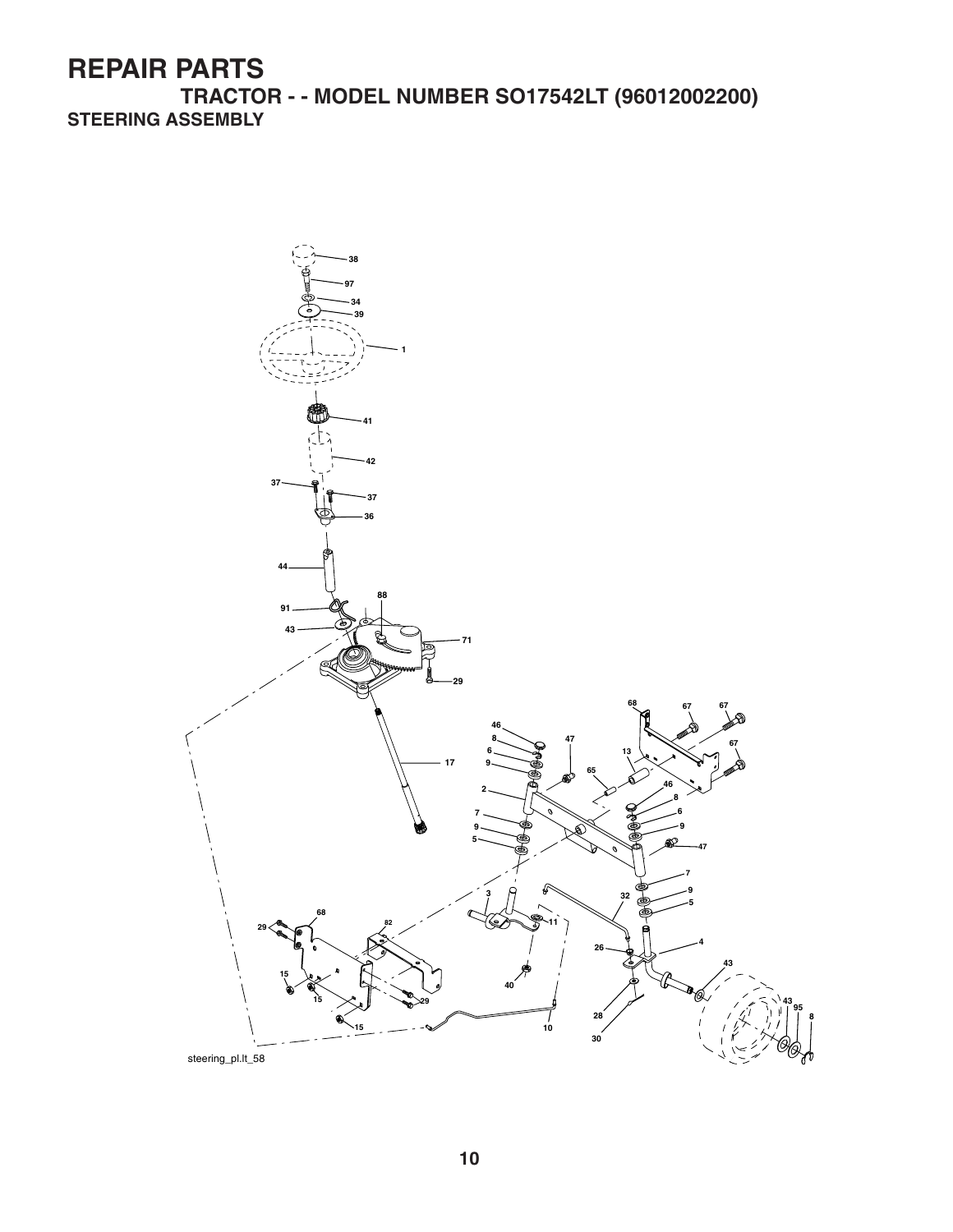**TRACTOR - - MODEL NUMBER SO17542LT (96012002200) STEERING ASSEMBLY**

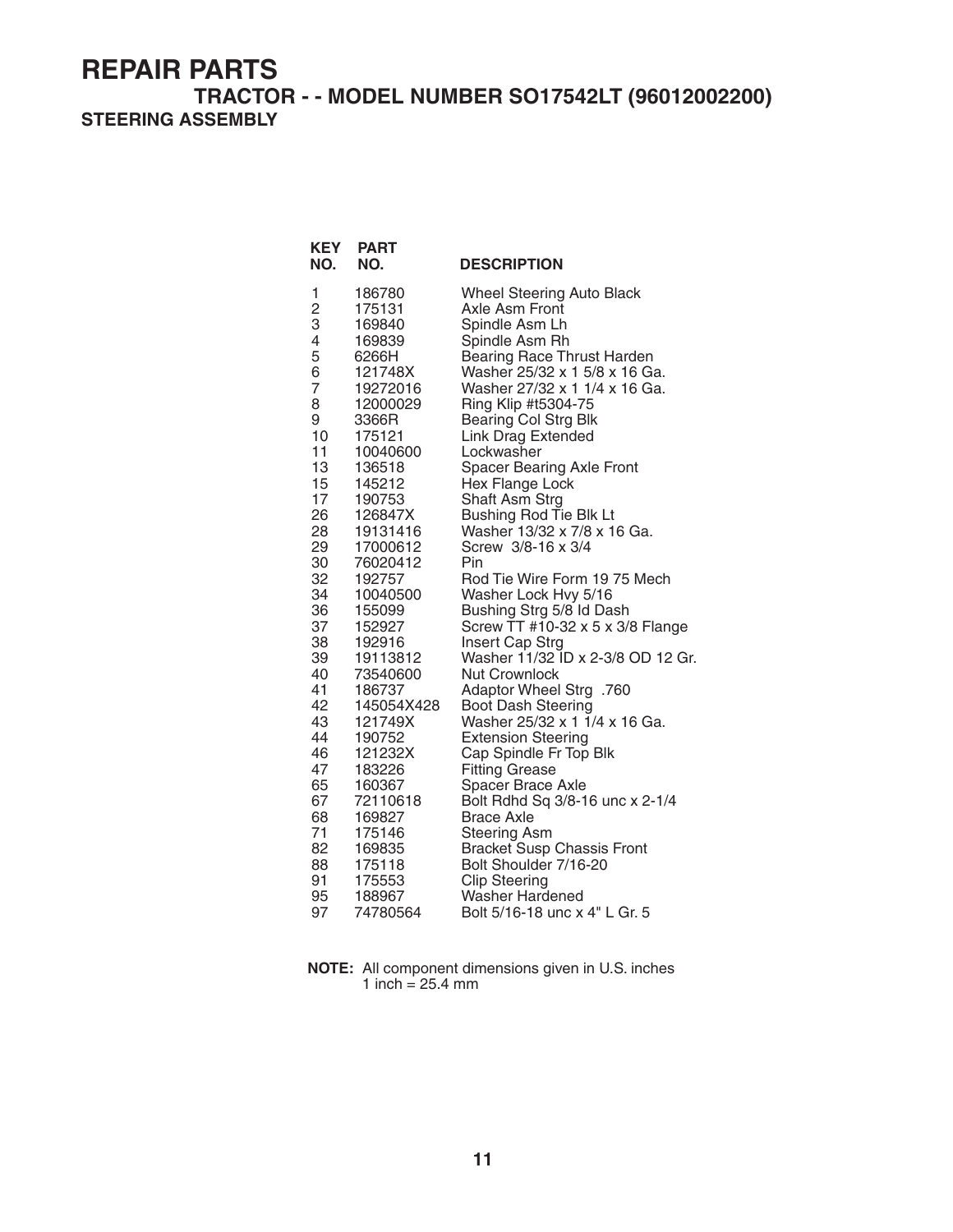**TRACTOR - - MODEL NUMBER SO17542LT (96012002200) STEERING ASSEMBLY**

| <b>KEY</b><br>NO. | <b>PART</b><br>NO. | <b>DESCRIPTION</b>                              |
|-------------------|--------------------|-------------------------------------------------|
| 1                 | 186780             | <b>Wheel Steering Auto Black</b>                |
| $\overline{c}$    | 175131             | Axle Asm Front                                  |
| 3                 | 169840             | Spindle Asm Lh                                  |
| 4                 | 169839             | Spindle Asm Rh                                  |
| 5                 | 6266H              | <b>Bearing Race Thrust Harden</b>               |
| 6                 | 121748X            | Washer 25/32 x 1 5/8 x 16 Ga.                   |
| 7                 | 19272016           | Washer 27/32 x 1 1/4 x 16 Ga.                   |
| 8                 | 12000029           | Ring Klip #t5304-75                             |
| 9<br>10           | 3366R              | <b>Bearing Col Strg Blk</b>                     |
| 11                | 175121<br>10040600 | Link Drag Extended<br>Lockwasher                |
| 13                | 136518             | Spacer Bearing Axle Front                       |
| 15                | 145212             | <b>Hex Flange Lock</b>                          |
| 17                | 190753             | Shaft Asm Strg                                  |
| 26                | 126847X            | Bushing Rod Tie Blk Lt                          |
| 28                | 19131416           | Washer 13/32 x 7/8 x 16 Ga.                     |
| 29                | 17000612           | Screw 3/8-16 x 3/4                              |
| 30                | 76020412           | Pin                                             |
| 32                | 192757             | Rod Tie Wire Form 19 75 Mech                    |
| 34                | 10040500           | Washer Lock Hvy 5/16                            |
| 36                | 155099             | Bushing Strg 5/8 Id Dash                        |
| 37                | 152927             | Screw $TT$ #10-32 x 5 x 3/8 Flange              |
| 38                | 192916             | Insert Cap Strg                                 |
| 39                | 19113812           | Washer 11/32 ID x 2-3/8 OD 12 Gr.               |
| 40<br>41          | 73540600<br>186737 | <b>Nut Crownlock</b><br>Adaptor Wheel Strg .760 |
| 42                | 145054X428         | <b>Boot Dash Steering</b>                       |
| 43                | 121749X            | Washer 25/32 x 1 1/4 x 16 Ga.                   |
| 44                | 190752             | <b>Extension Steering</b>                       |
| 46                | 121232X            | Cap Spindle Fr Top Blk                          |
| 47                | 183226             | <b>Fitting Grease</b>                           |
| 65                | 160367             | Spacer Brace Axle                               |
| 67                | 72110618           | Bolt Rdhd Sq 3/8-16 unc x 2-1/4                 |
| 68                | 169827             | <b>Brace Axle</b>                               |
| 71                | 175146             | <b>Steering Asm</b>                             |
| 82                | 169835             | <b>Bracket Susp Chassis Front</b>               |
| 88                | 175118             | Bolt Shoulder 7/16-20                           |
| 91                | 175553             | <b>Clip Steering</b>                            |
| 95                | 188967             | Washer Hardened                                 |
| 97                | 74780564           | Bolt 5/16-18 unc x 4" L Gr. 5                   |

**NOTE:** All component dimensions given in U.S. inches 1 inch  $= 25.4$  mm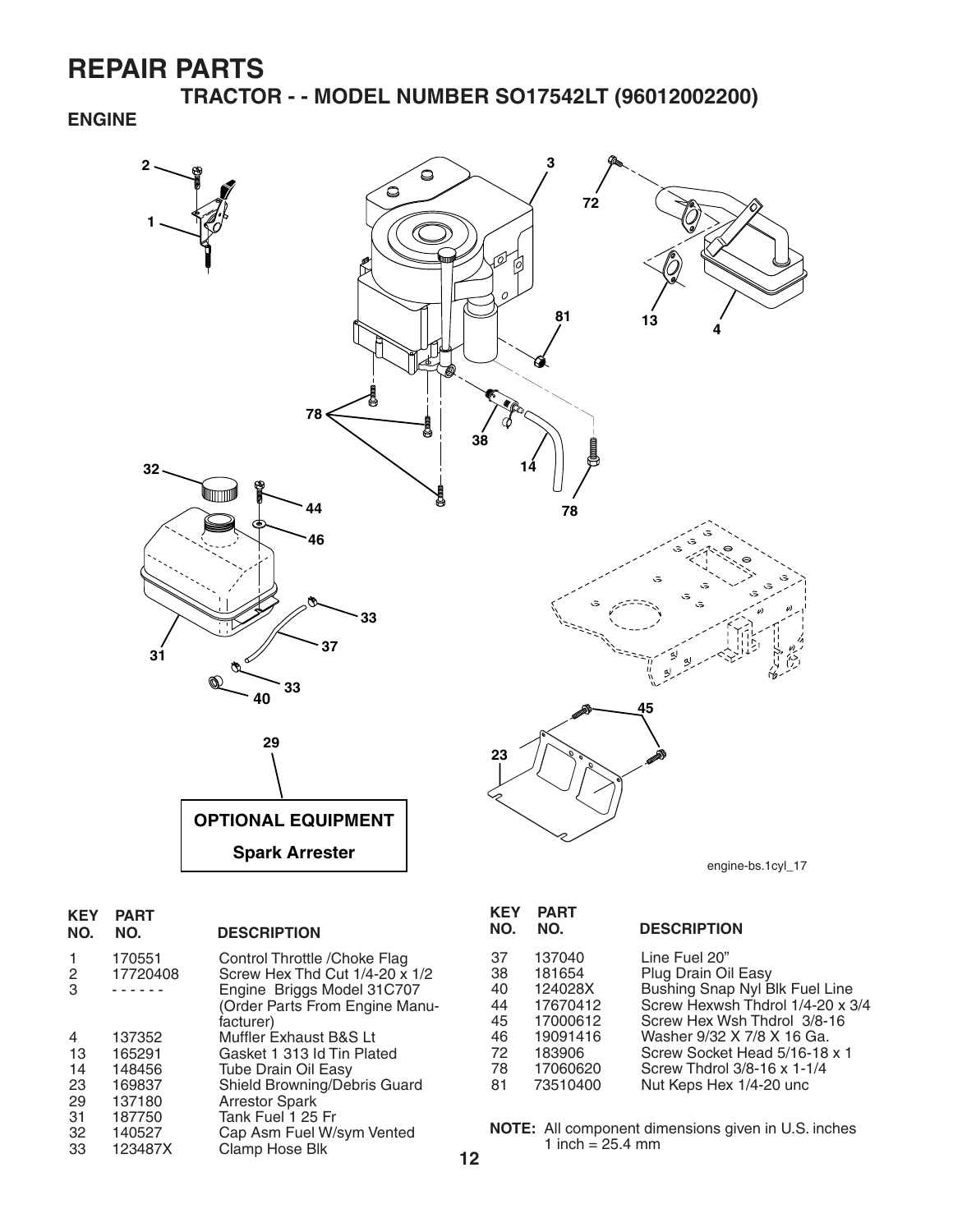**TRACTOR - - MODEL NUMBER SO17542LT (96012002200)**

#### **ENGINE**



| <b>KEY</b><br>NO. | <b>PART</b><br>NO. | <b>DESCRIPTION</b>                                                                            |
|-------------------|--------------------|-----------------------------------------------------------------------------------------------|
| 2<br>3            | 170551<br>17720408 | Control Throttle / Choke Flag<br>Screw Hex Thd Cut 1/4-20 x 1/2<br>Engine Briggs Model 31C707 |
|                   |                    | (Order Parts From Engine Manu-<br>facturer)                                                   |
| 4                 | 137352             | Muffler Exhaust B&S Lt                                                                        |
| 13                | 165291             | Gasket 1 313 Id Tin Plated                                                                    |
| 14                | 148456             | Tube Drain Oil Easy                                                                           |
| 23                | 169837             | Shield Browning/Debris Guard                                                                  |
| 29                | 137180             | <b>Arrestor Spark</b>                                                                         |
| 31                | 187750             | Tank Fuel 1 25 Fr                                                                             |
| 32                | 140527             | Cap Asm Fuel W/sym Vented                                                                     |
| 33                | 123487X            | Clamp Hose Blk                                                                                |

| KEY<br>NO.                                         | <b>PART</b><br>NO.                                                                                | <b>DESCRIPTION</b>                                                                                                                                                                                                                                                 |
|----------------------------------------------------|---------------------------------------------------------------------------------------------------|--------------------------------------------------------------------------------------------------------------------------------------------------------------------------------------------------------------------------------------------------------------------|
| 37<br>38<br>40<br>44<br>45<br>46<br>72<br>78<br>81 | 137040<br>181654<br>124028X<br>17670412<br>17000612<br>19091416<br>183906<br>17060620<br>73510400 | Line Fuel 20"<br>Plug Drain Oil Easy<br>Bushing Snap Nyl Blk Fuel Line<br>Screw Hexwsh Thdrol 1/4-20 x 3/4<br>Screw Hex Wsh Thdrol 3/8-16<br>Washer 9/32 X 7/8 X 16 Ga.<br>Screw Socket Head 5/16-18 x 1<br>Screw Thdrol 3/8-16 x 1-1/4<br>Nut Keps Hex 1/4-20 unc |
|                                                    |                                                                                                   |                                                                                                                                                                                                                                                                    |

**NOTE:** All component dimensions given in U.S. inches 1 inch =  $25.4 \, \text{mm}$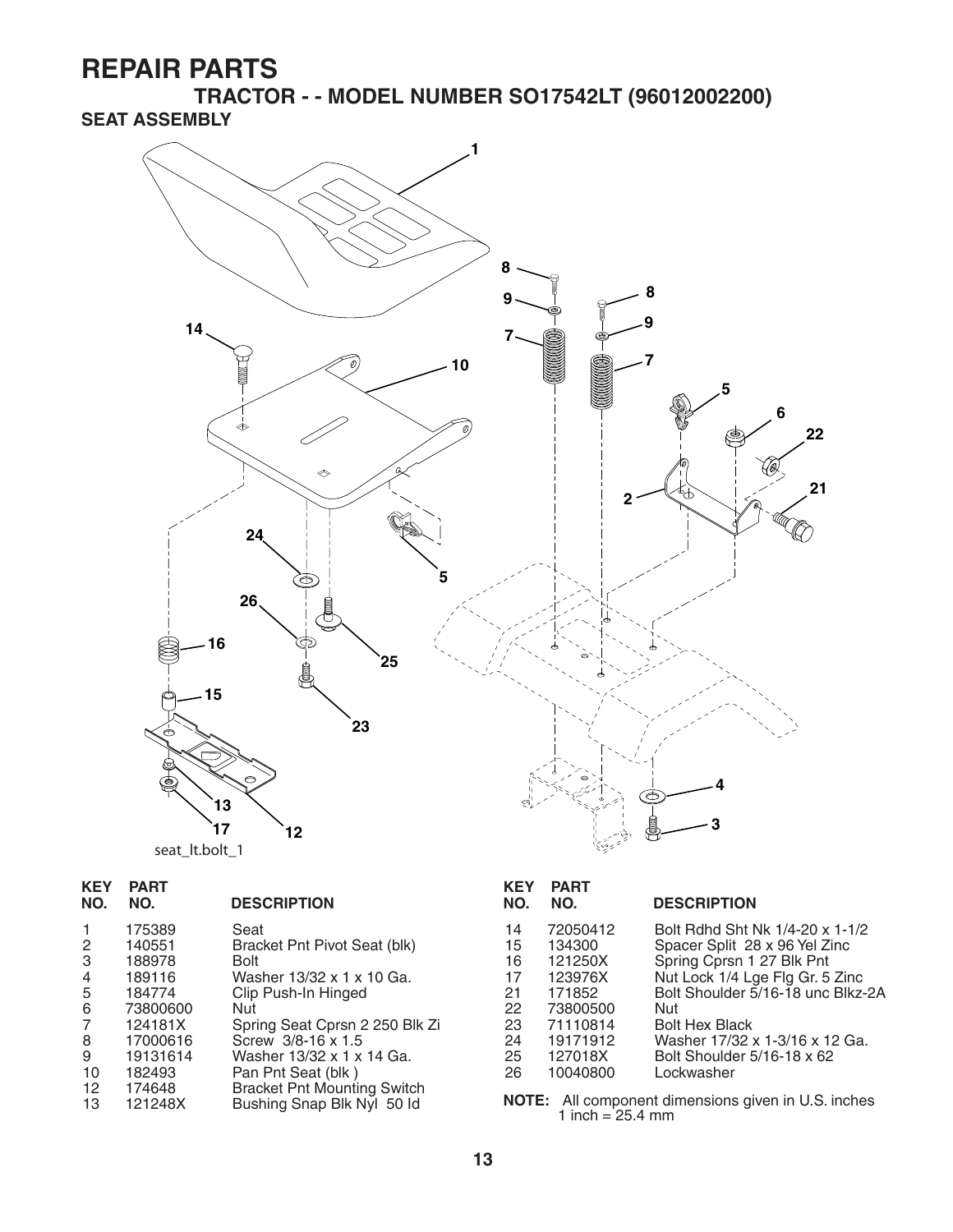**TRACTOR - - MODEL NUMBER SO17542LT (96012002200) SEAT ASSEMBLY**



| <b>KEY</b><br>NO. | <b>PART</b><br>NO. | <b>DESCRIPTION</b>                   |
|-------------------|--------------------|--------------------------------------|
| 1<br>2            | 175389<br>140551   | Seat<br>Bracket Pnt Pivot Seat (blk) |
| 3                 | 188978             | Bolt                                 |
| 4                 | 189116             | Washer 13/32 x 1 x 10 Ga.            |
| 5                 | 184774             | Clip Push-In Hinged                  |
| 6                 | 73800600           | Nut                                  |
| 7                 | 124181X            | Spring Seat Cprsn 2 250 Blk Zi       |
| 8                 | 17000616           | Screw 3/8-16 x 1.5                   |
| 9                 | 19131614           | Washer 13/32 x 1 x 14 Ga.            |
| 10                | 182493             | Pan Pnt Seat (blk)                   |
| 12                | 174648             | <b>Bracket Pnt Mounting Switch</b>   |
| 13                | 121248X            | Bushing Snap Blk Nyl 50 ld           |
|                   |                    |                                      |

| <b>KEY</b><br>NO.                                        | <b>PART</b><br>NO.                                                                                            | <b>DESCRIPTION</b>                                                                                                                                                                                                                                                                  |
|----------------------------------------------------------|---------------------------------------------------------------------------------------------------------------|-------------------------------------------------------------------------------------------------------------------------------------------------------------------------------------------------------------------------------------------------------------------------------------|
| 14<br>15<br>16<br>17<br>21<br>22<br>23<br>24<br>25<br>26 | 72050412<br>134300<br>121250X<br>123976X<br>171852<br>73800500<br>71110814<br>19171912<br>127018X<br>10040800 | Bolt Rdhd Sht Nk 1/4-20 x 1-1/2<br>Spacer Split 28 x 96 Yel Zinc<br>Spring Cprsn 1 27 Blk Pnt<br>Nut Lock 1/4 Lge Flg Gr. 5 Zinc<br>Bolt Shoulder 5/16-18 unc Blkz-2A<br>Nut<br><b>Bolt Hex Black</b><br>Washer 17/32 x 1-3/16 x 12 Ga.<br>Bolt Shoulder 5/16-18 x 62<br>Lockwasher |
| NOTE·                                                    |                                                                                                               | All component dimensions given in LLS inches                                                                                                                                                                                                                                        |

13 121248X Bushing Snap Blk Nyl 50 Id **NOTE:** All component dimensions given in U.S. inches 1 inch = 25.4 mm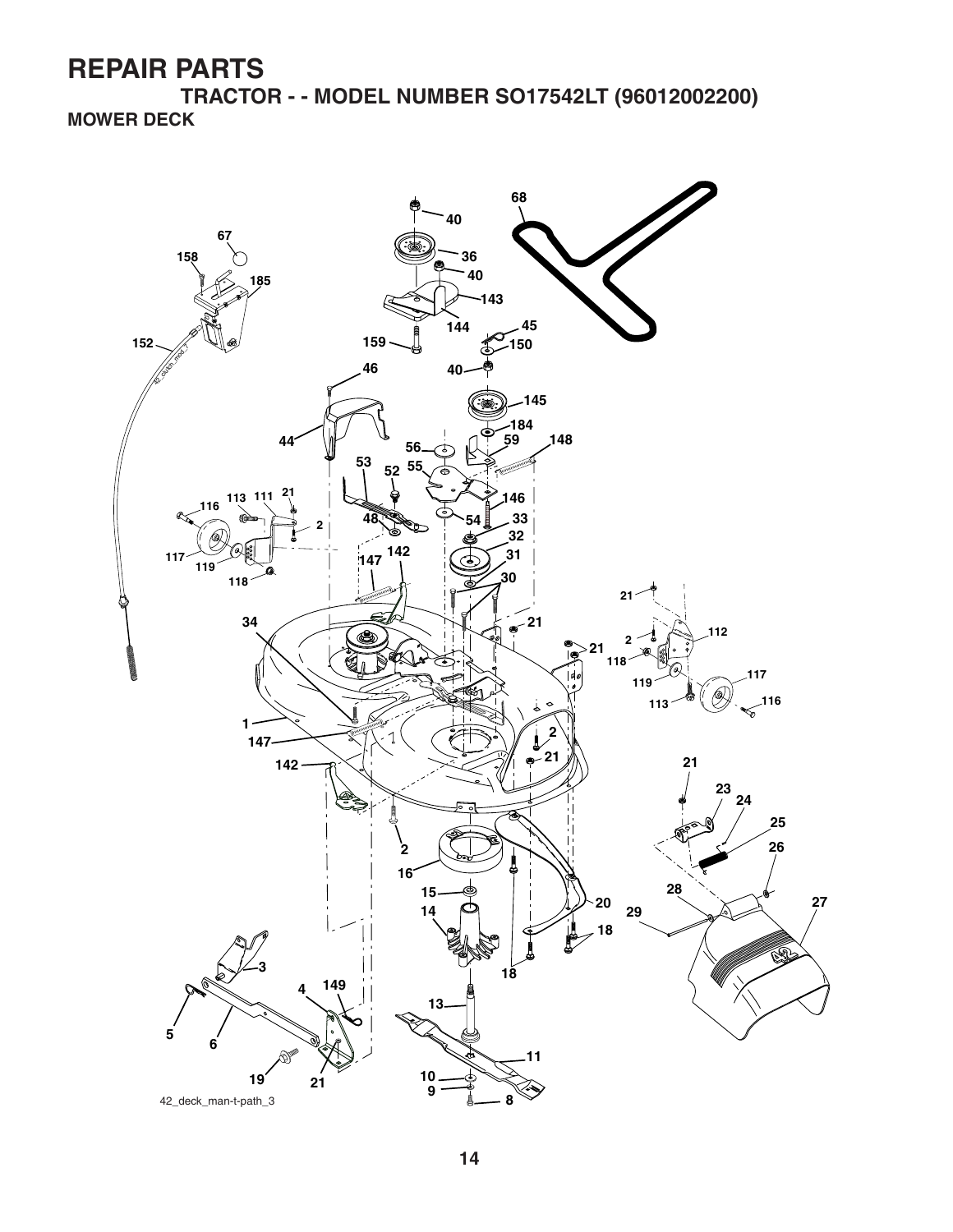**TRACTOR - - MODEL NUMBER SO17542LT (96012002200) MOWER DECK**

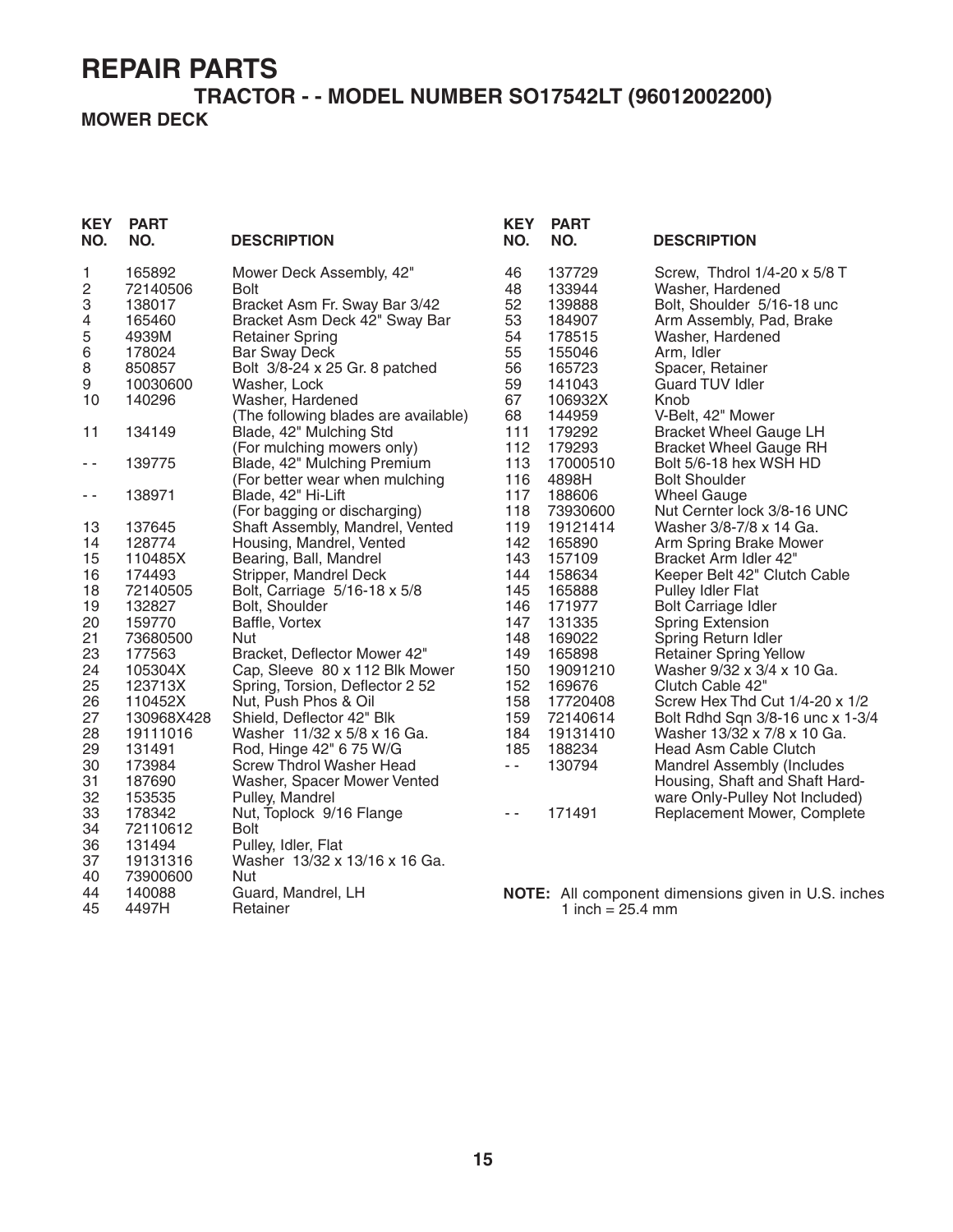#### **TRACTOR - - MODEL NUMBER SO17542LT (96012002200) MOWER DECK**

| <b>KEY</b><br>NO. | <b>PART</b><br>NO. | <b>DESCRIPTION</b>                                        | <b>KEY</b><br>NO. | <b>PART</b><br>NO. | <b>DESCRIPTION</b>                                         |
|-------------------|--------------------|-----------------------------------------------------------|-------------------|--------------------|------------------------------------------------------------|
| 1                 | 165892             | Mower Deck Assembly, 42"                                  | 46                | 137729             | Screw, Thdrol 1/4-20 x 5/8 T                               |
| 2                 | 72140506           | <b>Bolt</b>                                               | 48                | 133944             | Washer, Hardened                                           |
| 3                 | 138017             | Bracket Asm Fr. Sway Bar 3/42                             | 52                | 139888             | Bolt, Shoulder 5/16-18 unc                                 |
| 4                 | 165460             | Bracket Asm Deck 42" Sway Bar                             | 53                | 184907             | Arm Assembly, Pad, Brake                                   |
| 5                 | 4939M              | <b>Retainer Spring</b>                                    | 54                | 178515             | Washer, Hardened                                           |
| 6                 | 178024             | <b>Bar Sway Deck</b>                                      | 55                | 155046             | Arm, Idler                                                 |
| 8                 | 850857             | Bolt 3/8-24 x 25 Gr. 8 patched                            | 56                | 165723             | Spacer, Retainer                                           |
| 9                 | 10030600           | Washer, Lock                                              | 59                | 141043             | Guard TUV Idler                                            |
| 10                | 140296             | Washer, Hardened                                          | 67                | 106932X            | Knob                                                       |
| 11                | 134149             | (The following blades are available)                      | 68<br>111         | 144959<br>179292   | V-Belt, 42" Mower                                          |
|                   |                    | Blade, 42" Mulching Std                                   |                   |                    | <b>Bracket Wheel Gauge LH</b>                              |
|                   |                    | (For mulching mowers only)<br>Blade, 42" Mulching Premium | 112<br>113        | 179293             | <b>Bracket Wheel Gauge RH</b><br>Bolt 5/6-18 hex WSH HD    |
| - -               | 139775             | (For better wear when mulching                            | 116               | 17000510<br>4898H  | <b>Bolt Shoulder</b>                                       |
| - -               | 138971             | Blade, 42" Hi-Lift                                        | 117               | 188606             | <b>Wheel Gauge</b>                                         |
|                   |                    | (For bagging or discharging)                              | 118               | 73930600           | Nut Cernter lock 3/8-16 UNC                                |
| 13                | 137645             | Shaft Assembly, Mandrel, Vented                           | 119               | 19121414           | Washer 3/8-7/8 x 14 Ga.                                    |
| 14                | 128774             | Housing, Mandrel, Vented                                  | 142               | 165890             | Arm Spring Brake Mower                                     |
| 15                | 110485X            | Bearing, Ball, Mandrel                                    | 143               | 157109             | Bracket Arm Idler 42"                                      |
| 16                | 174493             | Stripper, Mandrel Deck                                    | 144               | 158634             | Keeper Belt 42" Clutch Cable                               |
| 18                | 72140505           | Bolt, Carriage 5/16-18 x 5/8                              | 145               | 165888             | Pulley Idler Flat                                          |
| 19                | 132827             | Bolt, Shoulder                                            | 146               | 171977             | <b>Bolt Carriage Idler</b>                                 |
| 20                | 159770             | Baffle, Vortex                                            | 147               | 131335             | <b>Spring Extension</b>                                    |
| 21                | 73680500           | Nut                                                       | 148               | 169022             | Spring Return Idler                                        |
| 23                | 177563             | Bracket, Deflector Mower 42"                              | 149               | 165898             | <b>Retainer Spring Yellow</b>                              |
| 24                | 105304X            | Cap, Sleeve 80 x 112 Blk Mower                            | 150               | 19091210           | Washer 9/32 x 3/4 x 10 Ga.                                 |
| 25                | 123713X            | Spring, Torsion, Deflector 2 52                           | 152               | 169676             | Clutch Cable 42"                                           |
| 26                | 110452X            | Nut, Push Phos & Oil                                      | 158               | 17720408           | Screw Hex Thd Cut 1/4-20 x 1/2                             |
| 27                | 130968X428         | Shield, Deflector 42" Blk                                 | 159               | 72140614           | Bolt Rdhd Sqn 3/8-16 unc x 1-3/4                           |
| 28                | 19111016           | Washer 11/32 x 5/8 x 16 Ga.                               | 184               | 19131410           | Washer 13/32 x 7/8 x 10 Ga.                                |
| 29                | 131491             | Rod, Hinge 42" 6 75 W/G                                   | 185               | 188234             | Head Asm Cable Clutch                                      |
| 30                | 173984             | <b>Screw Thdrol Washer Head</b>                           | $ -$              | 130794             | <b>Mandrel Assembly (Includes</b>                          |
| 31                | 187690             | Washer, Spacer Mower Vented                               |                   |                    | Housing, Shaft and Shaft Hard-                             |
| 32                | 153535             | Pulley, Mandrel                                           |                   |                    | ware Only-Pulley Not Included)                             |
| 33                | 178342             | Nut, Toplock 9/16 Flange                                  | $\sim$ $\sim$     | 171491             | Replacement Mower, Complete                                |
| 34                | 72110612           | <b>Bolt</b>                                               |                   |                    |                                                            |
| 36                | 131494             | Pulley, Idler, Flat                                       |                   |                    |                                                            |
| 37                | 19131316           | Washer 13/32 x 13/16 x 16 Ga.                             |                   |                    |                                                            |
| 40                | 73900600           | Nut                                                       |                   |                    |                                                            |
| 44                | 140088             | Guard, Mandrel, LH                                        |                   |                    | <b>NOTE:</b> All component dimensions given in U.S. inches |
| 45                | 4497H              | Retainer                                                  |                   | 1 inch = $25.4$ mm |                                                            |